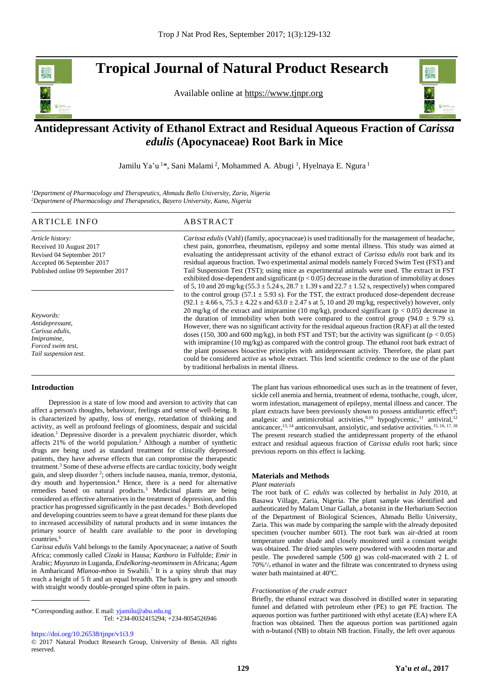# **Tropical Journal of Natural Product Research**

Available online at [https://www.tjnpr.org](https://www.tjnpr.org/)



## . **Antidepressant Activity of Ethanol Extract and Residual Aqueous Fraction of** *Carissa edulis* **(Apocynaceae) Root Bark in Mice**

Jamilu Ya'u<sup>1\*</sup>, Sani Malami<sup>2</sup>, Mohammed A. Abugi<sup>1</sup>, Hyelnaya E. Ngura<sup>1</sup>

*<sup>1</sup>Department of Pharmacology and Therapeutics, Ahmadu Bello University, Zaria, Nigeria <sup>2</sup>Department of Pharmacology and Therapeutics, Bayero University, Kano, Nigeria*

#### ARTICLE INFO ABSTRACT *Article history:* Received 10 August 2017 Revised 04 September 2017 Accepted 06 September 2017 Published online 09 September 2017 *Carissa edulis* (Vahl) (family, apocynaceae) is used traditionally for the management of headache, chest pain, gonorrhea, rheumatism, epilepsy and some mental illness. This study was aimed at evaluating the antidepressant activity of the ethanol extract of *Carissa edulis* root bark and its residual aqueous fraction. Two experimental animal models namely Forced Swim Test (FST) and Tail Suspension Test (TST); using mice as experimental animals were used. The extract in FST exhibited dose-dependent and significant  $(p < 0.05)$  decrease in the duration of immobility at doses of 5, 10 and 20 mg/kg ( $55.3 \pm 5.24$  s,  $28.7 \pm 1.39$  s and  $22.7 \pm 1.52$  s, respectively) when compared to the control group (57.1  $\pm$  5.93 s). For the TST, the extract produced dose-dependent decrease  $(92.1 \pm 4.66 \text{ s}, 75.3 \pm 4.22 \text{ s} \text{ and } 63.0 \pm 2.47 \text{ s} \text{ at } 5, 10 \text{ and } 20 \text{ mg/kg}$ , respectively) however, only 20 mg/kg of the extract and imipramine (10 mg/kg), produced significant ( $p < 0.05$ ) decrease in the duration of immobility when both were compared to the control group (94.0  $\pm$  9.79 s). However, there was no significant activity for the residual aqueous fraction (RAF) at all the tested doses (150, 300 and 600 mg/kg), in both FST and TST; but the activity was significant ( $p < 0.05$ ) with imipramine (10 mg/kg) as compared with the control group. The ethanol root bark extract of the plant possesses bioactive principles with antidepressant activity. Therefore, the plant part could be considered active as whole extract. This lend scientific credence to the use of the plant *Keywords: Antidepressant, Carissa edulis, Imipramine, Forced swim test, Tail suspension test.*

by traditional herbalists in mental illness.

#### **Introduction**

 Depression is a state of low mood and aversion to activity that can affect a person's thoughts, behaviour, feelings and sense of well-being. It is characterized by apathy, loss of energy, retardation of thinking and activity, as well as profound feelings of gloominess, despair and suicidal ideation.<sup>1</sup> Depressive disorder is a prevalent psychiatric disorder, which affects 21% of the world population.<sup>2</sup> Although a number of synthetic drugs are being used as standard treatment for clinically depressed patients, they have adverse effects that can compromise the therapeutic treatment.<sup>3</sup> Some of these adverse effects are cardiac toxicity, body weight gain, and sleep disorder <sup>2</sup>; others include nausea, mania, tremor, dystonia, dry mouth and hypertension.<sup>4</sup> Hence, there is a need for alternative remedies based on natural products.<sup>3</sup> Medicinal plants are being considered as effective alternatives in the treatment of depression, and this practice has progressed significantly in the past decades. 5 Both developed and developing countries seem to have a great demand for these plants due to increased accessibility of natural products and in some instances the primary source of health care available to the poor in developing countries.<sup>6</sup>

*Carissa edulis* Vahl belongs to the family Apocynaceae; a native of South Africa; commonly called *Cizaki* in Hausa; *Kanboro* in Fulfulde; *Emir* in Arabic; *Muyunzo* in Luganda, *Endelkoring*-*neominoem* in Africana; *Agam* in Amharicand *Mlanoa*-*mboo* in Swahili.<sup>7</sup> It is a spiny shrub that may reach a height of 5 ft and an equal breadth. The bark is grey and smooth with straight woody double-pronged spine often in pairs.

\*Corresponding author. E mail[: yjamilu@abu.edu.ng](mailto:yjamilu@abu.edu.ng)  Tel: +234-8032415294; +234-8054526946

The plant has various ethnomedical uses such as in the treatment of fever, sickle cell anemia and hernia, treatment of edema, toothache, cough, ulcer, worm infestation, management of epilepsy, mental illness and cancer. The plant extracts have been previously shown to possess antidiuretic effect<sup>8</sup>; analgesic and antimicrobial activities,  $9,10$  hypoglycemic, <sup>11</sup> antiviral, <sup>12</sup> anticancer,<sup>13, 14</sup> anticonvulsant, anxiolytic, and sedative activities.<sup>15, 16, 17, 18</sup> The present research studied the antidepressant property of the ethanol extract and residual aqueous fraction of *Carissa edulis* root bark; since previous reports on this effect is lacking.

#### **Materials and Methods**

#### *Plant materials*

The root bark of *C. edulis* was collected by herbalist in July 2010, at Basawa Village, Zaria, Nigeria. The plant sample was identified and authenticated by Malam Umar Gallah, a botanist in the Herbarium Section of the Department of Biological Sciences, Ahmadu Bello University, Zaria. This was made by comparing the sample with the already deposited specimen (voucher number 601). The root bark was air-dried at room temperature under shade and closely monitored until a constant weight was obtained. The dried samples were powdered with wooden mortar and pestle. The powdered sample (500 g) was cold-macerated with 2 L of 70%<sup>v</sup>/v ethanol in water and the filtrate was concentrated to dryness using water bath maintained at  $40^{\circ}$ C.

#### *Fractionation of the crude extract*

Briefly, the ethanol extract was dissolved in distilled water in separating funnel and defatted with petroleum ether (PE) to get PE fraction. The aqueous portion was further partitioned with ethyl acetate (EA) where EA fraction was obtained. Then the aqueous portion was partitioned again with n-butanol (NB) to obtain NB fraction. Finally, the left over aqueous

<https://doi.org/10.26538/tjnpr/v1i3.9>

<sup>© 2017</sup> Natural Product Research Group, University of Benin. All rights reserved.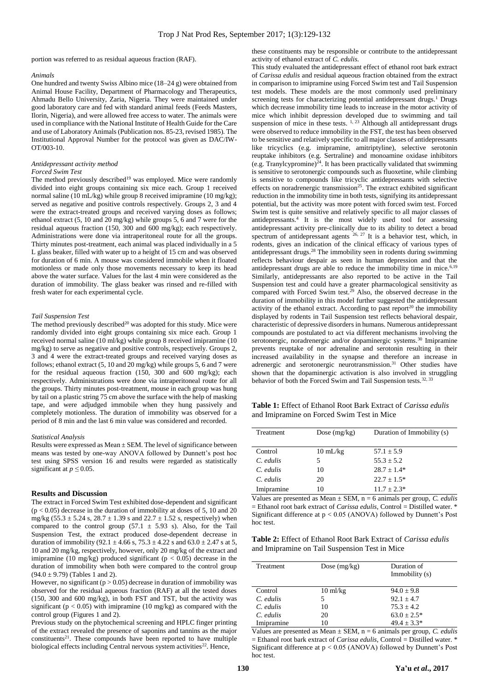portion was referred to as residual aqueous fraction (RAF).

#### *Animals*

One hundred and twenty Swiss Albino mice (18–24 g) were obtained from Animal House Facility, Department of Pharmacology and Therapeutics, Ahmadu Bello University, Zaria, Nigeria. They were maintained under good laboratory care and fed with standard animal feeds (Feeds Masters, Ilorin, Nigeria), and were allowed free access to water. The animals were used in compliance with the National Institute of Health Guide for the Care and use of Laboratory Animals (Publication nos. 85-23, revised 1985). The Institutional Approval Number for the protocol was given as DAC/IW-OT/003-10.

### *Antidepressant activity method*

#### *Forced Swim Test*

The method previously described<sup>19</sup> was employed. Mice were randomly divided into eight groups containing six mice each. Group 1 received normal saline (10 mL/kg) while group 8 received imipramine (10 mg/kg); served as negative and positive controls respectively. Groups 2, 3 and 4 were the extract-treated groups and received varying doses as follows; ethanol extract (5, 10 and 20 mg/kg) while groups 5, 6 and 7 were for the residual aqueous fraction (150, 300 and 600 mg/kg); each respectively. Administrations were done via intraperitoneal route for all the groups. Thirty minutes post-treatment, each animal was placed individually in a 5 L glass beaker, filled with water up to a height of 15 cm and was observed for duration of 6 min. A mouse was considered immobile when it floated motionless or made only those movements necessary to keep its head above the water surface. Values for the last 4 min were considered as the duration of immobility. The glass beaker was rinsed and re-filled with fresh water for each experimental cycle.

#### *Tail Suspension Test*

The method previously described<sup>20</sup> was adopted for this study. Mice were randomly divided into eight groups containing six mice each. Group 1 received normal saline (10 ml/kg) while group 8 received imipramine (10 mg/kg) to serve as negative and positive controls, respectively. Groups 2, 3 and 4 were the extract-treated groups and received varying doses as follows; ethanol extract (5, 10 and 20 mg/kg) while groups 5, 6 and 7 were for the residual aqueous fraction (150, 300 and 600 mg/kg); each respectively. Administrations were done via intraperitoneal route for all the groups. Thirty minutes post-treatment, mouse in each group was hung by tail on a plastic string 75 cm above the surface with the help of masking tape, and were adjudged immobile when they hung passively and completely motionless. The duration of immobility was observed for a period of 8 min and the last 6 min value was considered and recorded.

#### *Statistical Analysis*

Results were expressed as Mean ± SEM. The level of significance between means was tested by one-way ANOVA followed by Dunnett's post hoc test using SPSS version 16 and results were regarded as statistically significant at  $p \leq 0.05$ .

#### **Results and Discussion**

The extract in Forced Swim Test exhibited dose-dependent and significant  $(p < 0.05)$  decrease in the duration of immobility at doses of 5, 10 and 20 mg/kg (55.3  $\pm$  5.24 s, 28.7  $\pm$  1.39 s and 22.7  $\pm$  1.52 s, respectively) when compared to the control group (57.1  $\pm$  5.93 s). Also, for the Tail Suspension Test, the extract produced dose-dependent decrease in duration of immobility (92.1  $\pm$  4.66 s, 75.3  $\pm$  4.22 s and 63.0  $\pm$  2.47 s at 5, 10 and 20 mg/kg, respectively, however, only 20 mg/kg of the extract and imipramine (10 mg/kg) produced significant ( $p < 0.05$ ) decrease in the duration of immobility when both were compared to the control group  $(94.0 \pm 9.79)$  (Tables 1 and 2).

However, no significant ( $p > 0.05$ ) decrease in duration of immobility was observed for the residual aqueous fraction (RAF) at all the tested doses (150, 300 and 600 mg/kg), in both FST and TST, but the activity was significant ( $p < 0.05$ ) with imipramine (10 mg/kg) as compared with the control group (Figures 1 and 2).

Previous study on the phytochemical screening and HPLC finger printing of the extract revealed the presence of saponins and tannins as the major  $constituents<sup>21</sup>$ . These compounds have been reported to have multiple biological effects including Central nervous system activities<sup>22</sup>. Hence,

these constituents may be responsible or contribute to the antidepressant activity of ethanol extract of *C. edulis.*

This study evaluated the antidepressant effect of ethanol root bark extract of *Carissa edulis* and residual aqueous fraction obtained from the extract in comparison to imipramine using Forced Swim test and Tail Suspension test models. These models are the most commonly used preliminary screening tests for characterizing potential antidepressant drugs.<sup>1</sup> Drugs which decrease immobility time leads to increase in the motor activity of mice which inhibit depression developed due to swimming and tail suspension of mice in these tests.<sup>1, 23</sup> Although all antidepressant drugs were observed to reduce immobility in the FST, the test has been observed to be sensitive and relatively specific to all major classes of antidepressants like tricyclics (e.g. imipramine, amitriptyline), selective serotonin reuptake inhibitors (e.g. Sertraline) and monoamine oxidase inhibitors (e.g. Tranylcypromine)<sup>24</sup>. It has been practically validated that swimming is sensitive to serotonergic compounds such as fluoxetine, while climbing is sensitive to compounds like tricyclic antidepressants with selective effects on noradrenergic transmission<sup>25</sup>. The extract exhibited significant reduction in the immobility time in both tests, signifying its antidepressant potential, but the activity was more potent with forced swim test. Forced Swim test is quite sensitive and relatively specific to all major classes of antidepressants.<sup>4</sup> It is the most widely used tool for assessing antidepressant activity pre‐clinically due to its ability to detect a broad spectrum of antidepressant agents  $26, 27$  It is a behavior test, which, in rodents, gives an indication of the clinical efficacy of various types of antidepressant drugs.<sup>28</sup> The immobility seen in rodents during swimming reflects behaviour despair as seen in human depression and that the antidepressant drugs are able to reduce the immobility time in mice. $6,19$ Similarly, antidepressants are also reported to be active in the Tail Suspension test and could have a greater pharmacological sensitivity as compared with Forced Swim test.<sup>29</sup> Also, the observed decrease in the duration of immobility in this model further suggested the antidepressant activity of the ethanol extract. According to past report<sup>20</sup> the immobility displayed by rodents in Tail Suspension test reflects behavioral despair, characteristic of depressive disorders in humans. Numerous antidepressant compounds are postulated to act via different mechanisms involving the serotonergic, noradrenergic and/or dopaminergic systems.<sup>30</sup> Imipramine prevents reuptake of nor adrenaline and serotonin resulting in their increased availability in the synapse and therefore an increase in adrenergic and serotonergic neurotransmission.<sup>31</sup> Other studies have shown that the dopaminergic activation is also involved in struggling behavior of both the Forced Swim and Tail Suspension tests.<sup>32, 33</sup>

**Table 1:** Effect of Ethanol Root Bark Extract of *Carissa edulis* and Imipramine on Forced Swim Test in Mice

| Treatment   | Dose $(mg/kg)$     | Duration of Immobility (s) |
|-------------|--------------------|----------------------------|
|             |                    |                            |
|             |                    |                            |
| Control     | $10 \text{ mL/kg}$ | $57.1 \pm 5.9$             |
| $C.$ edulis | 5                  | $55.3 + 5.2$               |
|             |                    |                            |
| $C.$ edulis | 10                 | $28.7 + 1.4*$              |
| $C.$ edulis | 20                 | $22.7 + 1.5*$              |
|             |                    |                            |
| Imipramine  | 10                 | $11.7 + 2.3*$              |

Values are presented as Mean  $\pm$  SEM, n = 6 animals per group, *C. edulis* = Ethanol root bark extract of *Carissa edulis*, Control = Distilled water. \* Significant difference at p < 0.05 (ANOVA) followed by Dunnett's Post hoc test.

| <b>Table 2:</b> Effect of Ethanol Root Bark Extract of <i>Carissa edulis</i> |  |  |
|------------------------------------------------------------------------------|--|--|
| and Imipramine on Tail Suspension Test in Mice                               |  |  |

| Treatment   | Dose $(mg/kg)$     | Duration of<br>Immobility (s) |
|-------------|--------------------|-------------------------------|
| Control     | $10 \text{ ml/kg}$ | $94.0 \pm 9.8$                |
| $C.$ edulis | 5                  | $92.1 + 4.7$                  |
| C. edulis   | 10                 | $75.3 + 4.2$                  |
| $C.$ edulis | 20                 | $63.0 + 2.5*$                 |
| Imipramine  | 10                 | $49.4 + 3.3*$                 |

Values are presented as Mean ± SEM, n = 6 animals per group, *C. edulis*  $=$  Ethanol root bark extract of *Carissa edulis*, Control  $=$  Distilled water.  $*$ Significant difference at p < 0.05 (ANOVA) followed by Dunnett's Post hoc test.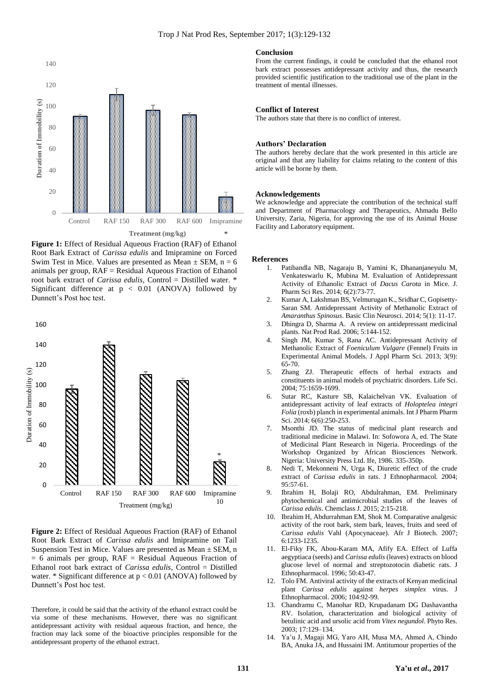

**Figure 1:** Effect of Residual Aqueous Fraction (RAF) of Ethanol Root Bark Extract of *Carissa edulis* and Imipramine on Forced Swim Test in Mice. Values are presented as Mean  $\pm$  SEM, n = 6 animals per group,  $RAF = Residual$  Aqueous Fraction of Ethanol root bark extract of *Carissa edulis*, Control = Distilled water. \* Significant difference at  $p < 0.01$  (ANOVA) followed by Dunnett's Post hoc test.



**Figure 2:** Effect of Residual Aqueous Fraction (RAF) of Ethanol Root Bark Extract of *Carissa edulis* and Imipramine on Tail Suspension Test in Mice. Values are presented as Mean  $\pm$  SEM, n  $= 6$  animals per group,  $RAF = Residual$  Aqueous Fraction of Ethanol root bark extract of *Carissa edulis*, Control = Distilled water.  $*$  Significant difference at  $p < 0.01$  (ANOVA) followed by Dunnett's Post hoc test.

Therefore, it could be said that the activity of the ethanol extract could be via some of these mechanisms. However, there was no significant antidepressant activity with residual aqueous fraction, and hence, the fraction may lack some of the bioactive principles responsible for the antidepressant property of the ethanol extract.

#### **Conclusion**

From the current findings, it could be concluded that the ethanol root bark extract possesses antidepressant activity and thus, the research provided scientific justification to the traditional use of the plant in the treatment of mental illnesses.

#### **Conflict of Interest**

The authors state that there is no conflict of interest.

#### **Authors' Declaration**

The authors hereby declare that the work presented in this article are original and that any liability for claims relating to the content of this article will be borne by them.

#### **Acknowledgements**

We acknowledge and appreciate the contribution of the technical staff and Department of Pharmacology and Therapeutics, Ahmadu Bello University, Zaria, Nigeria, for approving the use of its Animal House Facility and Laboratory equipment.

#### **References**

- 1. Patibandla NB, Nagaraju B, Yamini K, Dhananjaneyulu M, Venkateswarlu K, Mubina M. Evaluation of Antidepressant Activity of Ethanolic Extract of *Dacus Carota* in Mice. J. Pharm Sci Res. 2014; 6(2):73-77.
- 2. Kumar A, Lakshman BS, Velmurugan K., Sridhar C, Gopisetty-Saran SM. Antidepressant Activity of Methanolic Extract of *Amaranthus Spinosus*. Basic Clin Neurosci*.* 2014; 5(1): 11-17.
- 3. Dhingra D, Sharma A. A review on antidepressant medicinal plants. Nat Prod Rad. 2006; 5:144-152.
- 4. Singh JM, Kumar S, Rana AC. Antidepressant Activity of Methanolic Extract of *Foeniculum Vulgare* (Fennel) Fruits in Experimental Animal Models. J Appl Pharm Sci. 2013; 3(9): 65-70.
- 5. Zhang ZJ. Therapeutic effects of herbal extracts and constituents in animal models of psychiatric disorders. Life Sci. 2004; 75:1659-1699.
- 6. Sutar RC, Kasture SB, Kalaichelvan VK. Evaluation of antidepressant activity of leaf extracts of *Holoptelea integri Folia* (roxb) planch in experimental animals. Int J Pharm Pharm Sci. 2014; 6(6):250-253.
- Msonthi JD. The status of medicinal plant research and traditional medicine in Malawi. In: Sofowora A, ed. The State of Medicinal Plant Research in Nigeria. Proceedings of the Workshop Organized by African Biosciences Network. Nigeria: University Press Ltd. Ife, 1986. 335-350p.
- 8. Nedi T, Mekonneni N, Urga K, Diuretic effect of the crude extract of *Carissa edulis* in rats. J Ethnopharmacol*.* 2004; 95:57-61.
- 9. Ibrahim H, Bolaji RO, Abdulrahman, EM. Preliminary phytochemical and antimicrobial studies of the leaves of *Carissa edulis*. Chemclass J. 2015; 2:15-218.
- 10. Ibrahim H, Abdurrahman EM, Shok M. Comparative analgesic activity of the root bark, stem bark, leaves, fruits and seed of *Carissa edulis* Vahl (Apocynaceae). Afr J Biotech. 2007; 6:1233-1235.
- 11. El-Fiky FK, Abou-Karam MA, Afify EA. Effect of Luffa aegyptiaca (seeds) and *Carissa edulis* (leaves) extracts on blood glucose level of normal and streptozotocin diabetic rats. J Ethnopharmacol*.* 1996; 50:43-47.
- 12. Tolo FM. Antiviral activity of the extracts of Kenyan medicinal plant *Carissa edulis* against *herpes simplex* virus. J Ethnopharmacol. 2006; 104:92-99.
- 13. Chandramu C, Manohar RD, Krupadanam DG Dashavantha RV. Isolation, characterization and biological activity of betulinic acid and ursolic acid from *Vitex negundol*. Phyto Res. 2003; 17:129–134.
- 14. Ya'u J, Magaji MG, Yaro AH, Musa MA, Ahmed A, Chindo BA, Anuka JA, and Hussaini IM. Antitumour properties of the